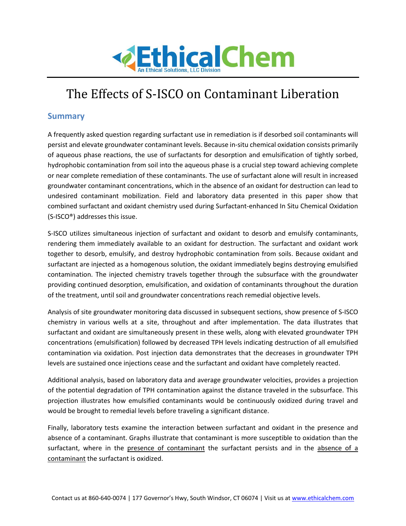

# The Effects of S-ISCO on Contaminant Liberation

## **Summary**

A frequently asked question regarding surfactant use in remediation is if desorbed soil contaminants will persist and elevate groundwater contaminant levels. Because in-situ chemical oxidation consists primarily of aqueous phase reactions, the use of surfactants for desorption and emulsification of tightly sorbed, hydrophobic contamination from soil into the aqueous phase is a crucial step toward achieving complete or near complete remediation of these contaminants. The use of surfactant alone will result in increased groundwater contaminant concentrations, which in the absence of an oxidant for destruction can lead to undesired contaminant mobilization. Field and laboratory data presented in this paper show that combined surfactant and oxidant chemistry used during Surfactant-enhanced In Situ Chemical Oxidation (S-ISCO®) addresses this issue.

S-ISCO utilizes simultaneous injection of surfactant and oxidant to desorb and emulsify contaminants, rendering them immediately available to an oxidant for destruction. The surfactant and oxidant work together to desorb, emulsify, and destroy hydrophobic contamination from soils. Because oxidant and surfactant are injected as a homogenous solution, the oxidant immediately begins destroying emulsified contamination. The injected chemistry travels together through the subsurface with the groundwater providing continued desorption, emulsification, and oxidation of contaminants throughout the duration of the treatment, until soil and groundwater concentrations reach remedial objective levels.

Analysis of site groundwater monitoring data discussed in subsequent sections, show presence of S-ISCO chemistry in various wells at a site, throughout and after implementation. The data illustrates that surfactant and oxidant are simultaneously present in these wells, along with elevated groundwater TPH concentrations (emulsification) followed by decreased TPH levels indicating destruction of all emulsified contamination via oxidation. Post injection data demonstrates that the decreases in groundwater TPH levels are sustained once injections cease and the surfactant and oxidant have completely reacted.

Additional analysis, based on laboratory data and average groundwater velocities, provides a projection of the potential degradation of TPH contamination against the distance traveled in the subsurface. This projection illustrates how emulsified contaminants would be continuously oxidized during travel and would be brought to remedial levels before traveling a significant distance.

Finally, laboratory tests examine the interaction between surfactant and oxidant in the presence and absence of a contaminant. Graphs illustrate that contaminant is more susceptible to oxidation than the surfactant, where in the presence of contaminant the surfactant persists and in the absence of a contaminant the surfactant is oxidized.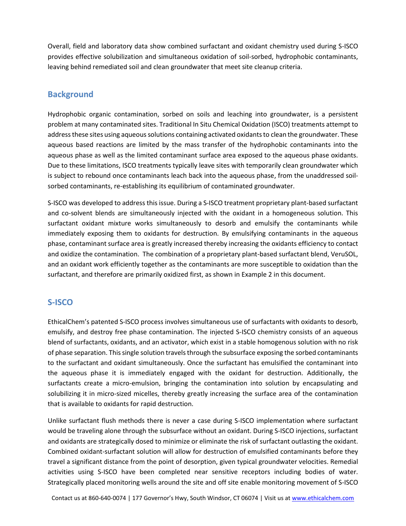Overall, field and laboratory data show combined surfactant and oxidant chemistry used during S-ISCO provides effective solubilization and simultaneous oxidation of soil-sorbed, hydrophobic contaminants, leaving behind remediated soil and clean groundwater that meet site cleanup criteria.

## **Background**

Hydrophobic organic contamination, sorbed on soils and leaching into groundwater, is a persistent problem at many contaminated sites. Traditional In Situ Chemical Oxidation (ISCO) treatments attempt to address these sites using aqueous solutions containing activated oxidants to clean the groundwater. These aqueous based reactions are limited by the mass transfer of the hydrophobic contaminants into the aqueous phase as well as the limited contaminant surface area exposed to the aqueous phase oxidants. Due to these limitations, ISCO treatments typically leave sites with temporarily clean groundwater which is subject to rebound once contaminants leach back into the aqueous phase, from the unaddressed soilsorbed contaminants, re-establishing its equilibrium of contaminated groundwater.

S-ISCO was developed to address this issue. During a S-ISCO treatment proprietary plant-based surfactant and co-solvent blends are simultaneously injected with the oxidant in a homogeneous solution. This surfactant oxidant mixture works simultaneously to desorb and emulsify the contaminants while immediately exposing them to oxidants for destruction. By emulsifying contaminants in the aqueous phase, contaminant surface area is greatly increased thereby increasing the oxidants efficiency to contact and oxidize the contamination. The combination of a proprietary plant-based surfactant blend, VeruSOL, and an oxidant work efficiently together as the contaminants are more susceptible to oxidation than the surfactant, and therefore are primarily oxidized first, as shown in Example 2 in this document.

## **S-ISCO**

EthicalChem's patented S-ISCO process involves simultaneous use of surfactants with oxidants to desorb, emulsify, and destroy free phase contamination. The injected S-ISCO chemistry consists of an aqueous blend of surfactants, oxidants, and an activator, which exist in a stable homogenous solution with no risk of phase separation. This single solution travels through the subsurface exposing the sorbed contaminants to the surfactant and oxidant simultaneously. Once the surfactant has emulsified the contaminant into the aqueous phase it is immediately engaged with the oxidant for destruction. Additionally, the surfactants create a micro-emulsion, bringing the contamination into solution by encapsulating and solubilizing it in micro-sized micelles, thereby greatly increasing the surface area of the contamination that is available to oxidants for rapid destruction.

Unlike surfactant flush methods there is never a case during S-ISCO implementation where surfactant would be traveling alone through the subsurface without an oxidant. During S-ISCO injections, surfactant and oxidants are strategically dosed to minimize or eliminate the risk of surfactant outlasting the oxidant. Combined oxidant-surfactant solution will allow for destruction of emulsified contaminants before they travel a significant distance from the point of desorption, given typical groundwater velocities. Remedial activities using S-ISCO have been completed near sensitive receptors including bodies of water. Strategically placed monitoring wells around the site and off site enable monitoring movement of S-ISCO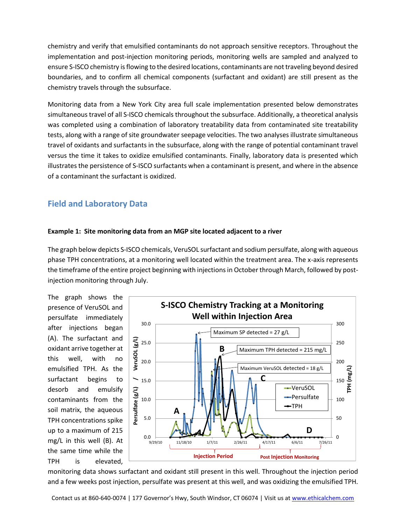chemistry and verify that emulsified contaminants do not approach sensitive receptors. Throughout the implementation and post-injection monitoring periods, monitoring wells are sampled and analyzed to ensure S-ISCO chemistry is flowing to the desired locations, contaminants are not traveling beyond desired boundaries, and to confirm all chemical components (surfactant and oxidant) are still present as the chemistry travels through the subsurface.

Monitoring data from a New York City area full scale implementation presented below demonstrates simultaneous travel of all S-ISCO chemicals throughout the subsurface. Additionally, a theoretical analysis was completed using a combination of laboratory treatability data from contaminated site treatability tests, along with a range of site groundwater seepage velocities. The two analyses illustrate simultaneous travel of oxidants and surfactants in the subsurface, along with the range of potential contaminant travel versus the time it takes to oxidize emulsified contaminants. Finally, laboratory data is presented which illustrates the persistence of S-ISCO surfactants when a contaminant is present, and where in the absence of a contaminant the surfactant is oxidized.

# **Field and Laboratory Data**

## **Example 1: Site monitoring data from an MGP site located adjacent to a river**

The graph below depicts S-ISCO chemicals, VeruSOL surfactant and sodium persulfate, along with aqueous phase TPH concentrations, at a monitoring well located within the treatment area. The x-axis represents the timeframe of the entire project beginning with injections in October through March, followed by postinjection monitoring through July.

The graph shows the presence of VeruSOL and persulfate immediately after injections began (A). The surfactant and oxidant arrive together at this well, with no emulsified TPH. As the surfactant begins to desorb and emulsify contaminants from the soil matrix, the aqueous TPH concentrations spike up to a maximum of 215 mg/L in this well (B). At the same time while the TPH is elevated,



monitoring data shows surfactant and oxidant still present in this well. Throughout the injection period and a few weeks post injection, persulfate was present at this well, and was oxidizing the emulsified TPH.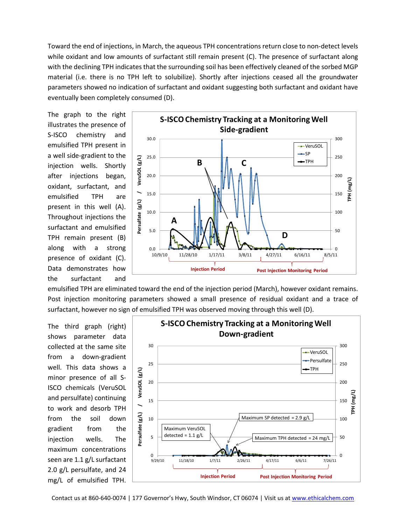Toward the end of injections, in March, the aqueous TPH concentrations return close to non-detect levels while oxidant and low amounts of surfactant still remain present (C). The presence of surfactant along with the declining TPH indicates that the surrounding soil has been effectively cleaned of the sorbed MGP material (i.e. there is no TPH left to solubilize). Shortly after injections ceased all the groundwater parameters showed no indication of surfactant and oxidant suggesting both surfactant and oxidant have eventually been completely consumed (D).

The graph to the right illustrates the presence of S-ISCO chemistry and emulsified TPH present in a well side-gradient to the injection wells. Shortly after injections began, oxidant, surfactant, and emulsified TPH are present in this well (A). Throughout injections the surfactant and emulsified TPH remain present (B) along with a strong presence of oxidant (C). Data demonstrates how the surfactant and



emulsified TPH are eliminated toward the end of the injection period (March), however oxidant remains. Post injection monitoring parameters showed a small presence of residual oxidant and a trace of surfactant, however no sign of emulsified TPH was observed moving through this well (D).

The third graph (right) shows parameter data collected at the same site from a down-gradient well. This data shows a minor presence of all S-ISCO chemicals (VeruSOL and persulfate) continuing to work and desorb TPH from the soil down gradient from the injection wells. The maximum concentrations seen are 1.1 g/L surfactant 2.0 g/L persulfate, and 24 mg/L of emulsified TPH.



Contact us at 860-640-0074 | 177 Governor's Hwy, South Windsor, CT 06074 | Visit us a[t www.ethicalchem.com](http://www.ethicalchem.com/)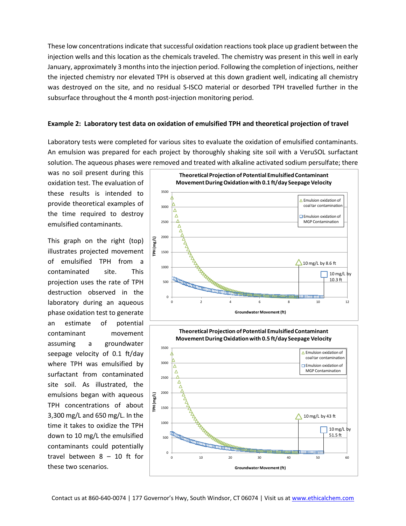These low concentrations indicate that successful oxidation reactions took place up gradient between the injection wells and this location as the chemicals traveled. The chemistry was present in this well in early January, approximately 3 months into the injection period. Following the completion of injections, neither the injected chemistry nor elevated TPH is observed at this down gradient well, indicating all chemistry was destroyed on the site, and no residual S-ISCO material or desorbed TPH travelled further in the subsurface throughout the 4 month post-injection monitoring period.

#### **Example 2: Laboratory test data on oxidation of emulsified TPH and theoretical projection of travel**

Laboratory tests were completed for various sites to evaluate the oxidation of emulsified contaminants. An emulsion was prepared for each project by thoroughly shaking site soil with a VeruSOL surfactant solution. The aqueous phases were removed and treated with alkaline activated sodium persulfate; there

was no soil present during this oxidation test. The evaluation of these results is intended to provide theoretical examples of the time required to destroy emulsified contaminants.

This graph on the right (top) illustrates projected movement of emulsified TPH from a contaminated site. This projection uses the rate of TPH destruction observed in the laboratory during an aqueous phase oxidation test to generate an estimate of potential contaminant movement assuming a groundwater seepage velocity of 0.1 ft/day where TPH was emulsified by surfactant from contaminated site soil. As illustrated, the emulsions began with aqueous TPH concentrations of about 3,300 mg/L and 650 mg/L. In the time it takes to oxidize the TPH down to 10 mg/L the emulsified contaminants could potentially travel between 8 – 10 ft for these two scenarios.



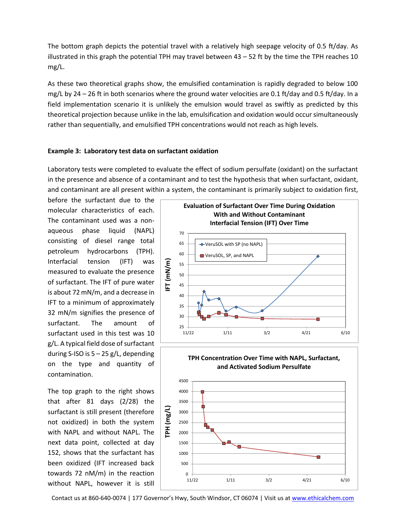The bottom graph depicts the potential travel with a relatively high seepage velocity of 0.5 ft/day. As illustrated in this graph the potential TPH may travel between  $43 - 52$  ft by the time the TPH reaches 10 mg/L.

As these two theoretical graphs show, the emulsified contamination is rapidly degraded to below 100 mg/L by 24 – 26 ft in both scenarios where the ground water velocities are 0.1 ft/day and 0.5 ft/day. In a field implementation scenario it is unlikely the emulsion would travel as swiftly as predicted by this theoretical projection because unlike in the lab, emulsification and oxidation would occur simultaneously rather than sequentially, and emulsified TPH concentrations would not reach as high levels.

### **Example 3: Laboratory test data on surfactant oxidation**

Laboratory tests were completed to evaluate the effect of sodium persulfate (oxidant) on the surfactant in the presence and absence of a contaminant and to test the hypothesis that when surfactant, oxidant, and contaminant are all present within a system, the contaminant is primarily subject to oxidation first,

before the surfactant due to the molecular characteristics of each. The contaminant used was a nonaqueous phase liquid (NAPL) consisting of diesel range total petroleum hydrocarbons (TPH). Interfacial tension (IFT) was measured to evaluate the presence of surfactant. The IFT of pure water is about 72 mN/m, and a decrease in IFT to a minimum of approximately 32 mN/m signifies the presence of surfactant. The amount of surfactant used in this test was 10 g/L. A typical field dose of surfactant during S-ISO is 5 – 25 g/L, depending on the type and quantity of contamination.

The top graph to the right shows that after 81 days (2/28) the surfactant is still present (therefore not oxidized) in both the system with NAPL and without NAPL. The next data point, collected at day 152, shows that the surfactant has been oxidized (IFT increased back towards 72 nM/m) in the reaction without NAPL, however it is still





Contact us at 860-640-0074 | 177 Governor's Hwy, South Windsor, CT 06074 | Visit us a[t www.ethicalchem.com](http://www.ethicalchem.com/)